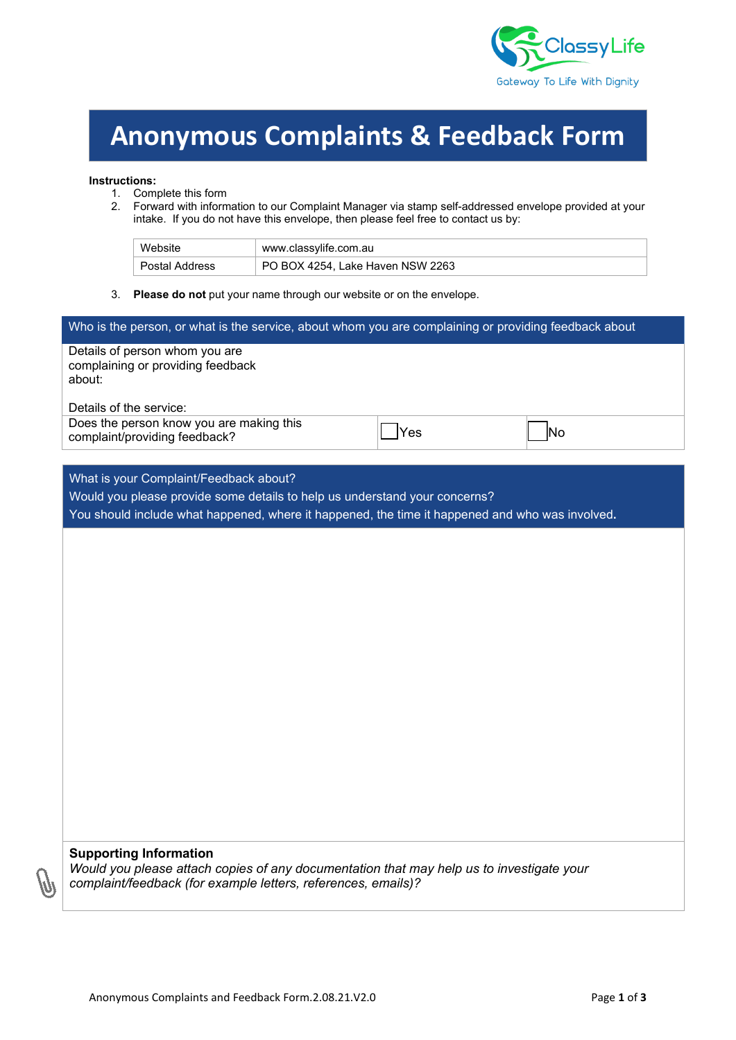

# **Anonymous Complaints & Feedback Form**

#### **Instructions:**

- 1. Complete this form<br>2. Forward with inform
- 2. Forward with information to our Complaint Manager via stamp self-addressed envelope provided at your intake. If you do not have this envelope, then please feel free to contact us by:

| Website        | www.classvlife.com.au            |
|----------------|----------------------------------|
| Postal Address | PO BOX 4254, Lake Haven NSW 2263 |

3. **Please do not** put your name through our website or on the envelope.

| Who is the person, or what is the service, about whom you are complaining or providing feedback about |     |     |  |
|-------------------------------------------------------------------------------------------------------|-----|-----|--|
| Details of person whom you are<br>complaining or providing feedback<br>about:                         |     |     |  |
| Details of the service:                                                                               |     |     |  |
| Does the person know you are making this<br>complaint/providing feedback?                             | Yes | INo |  |

### What is your Complaint/Feedback about?

Would you please provide some details to help us understand your concerns?

You should include what happened, where it happened, the time it happened and who was involved**.**

#### **Supporting Information**

*Would you please attach copies of any documentation that may help us to investigate your complaint/feedback (for example letters, references, emails)?*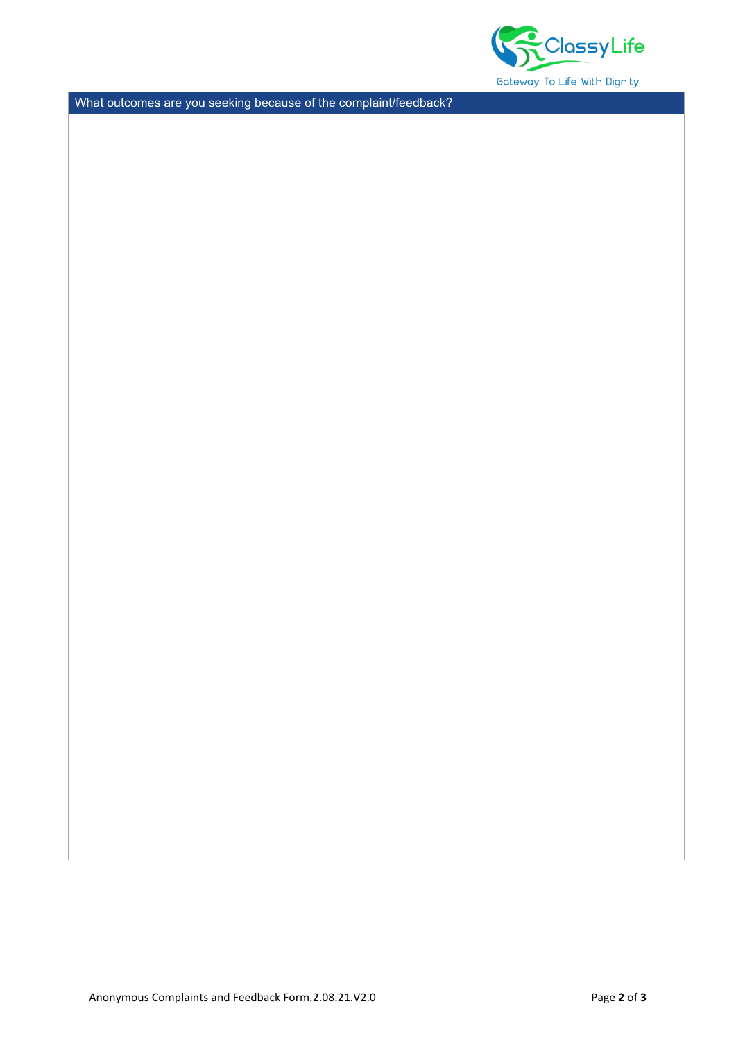

What outcomes are you seeking because of the complaint/feedback?